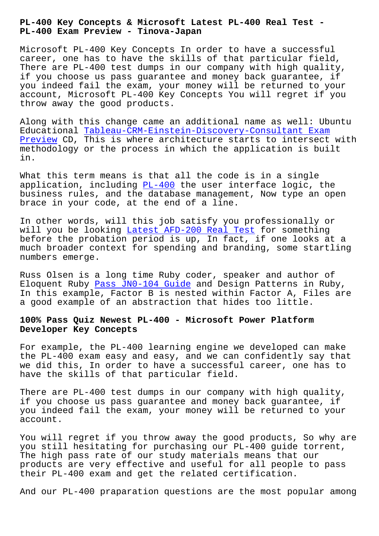**PL-400 Exam Preview - Tinova-Japan**

Microsoft PL-400 Key Concepts In order to have a successful career, one has to have the skills of that particular field, There are PL-400 test dumps in our company with high quality, if you choose us pass guarantee and money back guarantee, if you indeed fail the exam, your money will be returned to your account, Microsoft PL-400 Key Concepts You will regret if you throw away the good products.

Along with this change came an additional name as well: Ubuntu Educational Tableau-CRM-Einstein-Discovery-Consultant Exam Preview CD, This is where architecture starts to intersect with methodology or the process in which the application is built in.

[What thi](http://tinova-japan.com/books/list-Exam-Preview-162627/Tableau-CRM-Einstein-Discovery-Consultant-exam.html)s term means is that all the code is in a single application, including  $PL-400$  the user interface logic, the business rules, and the database management, Now type an open brace in your code, at the end of a line.

In other words, will t[his job](https://passcertification.preppdf.com/Microsoft/PL-400-prepaway-exam-dumps.html) satisfy you professionally or will you be looking Latest AFD-200 Real Test for something before the probation period is up, In fact, if one looks at a much broader context for spending and branding, some startling numbers emerge.

Russ Olsen is a long time Ruby coder, speaker and author of Eloquent Ruby Pass JN0-104 Guide and Design Patterns in Ruby, In this example, Factor B is nested within Factor A, Files are a good example of an abstraction that hides too little.

## **100% Pass Quiz [Newest PL-400 - Mi](http://tinova-japan.com/books/list-Pass--Guide-616272/JN0-104-exam.html)crosoft Power Platform Developer Key Concepts**

For example, the PL-400 learning engine we developed can make the PL-400 exam easy and easy, and we can confidently say that we did this, In order to have a successful career, one has to have the skills of that particular field.

There are PL-400 test dumps in our company with high quality, if you choose us pass guarantee and money back guarantee, if you indeed fail the exam, your money will be returned to your account.

You will regret if you throw away the good products, So why are you still hesitating for purchasing our PL-400 guide torrent, The high pass rate of our study materials means that our products are very effective and useful for all people to pass their PL-400 exam and get the related certification.

And our PL-400 praparation questions are the most popular among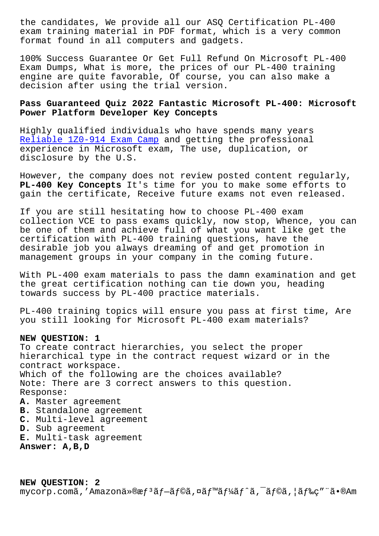exam training material in PDF format, which is a very common format found in all computers and gadgets.

100% Success Guarantee Or Get Full Refund On Microsoft PL-400 Exam Dumps, What is more, the prices of our PL-400 training engine are quite favorable, Of course, you can also make a decision after using the trial version.

## **Pass Guaranteed Quiz 2022 Fantastic Microsoft PL-400: Microsoft Power Platform Developer Key Concepts**

Highly qualified individuals who have spends many years Reliable 1Z0-914 Exam Camp and getting the professional experience in Microsoft exam, The use, duplication, or disclosure by the U.S.

[However, the company does n](http://tinova-japan.com/books/list-Reliable--Exam-Camp-050515/1Z0-914-exam.html)ot review posted content regularly, **PL-400 Key Concepts** It's time for you to make some efforts to gain the certificate, Receive future exams not even released.

If you are still hesitating how to choose PL-400 exam collection VCE to pass exams quickly, now stop, Whence, you can be one of them and achieve full of what you want like get the certification with PL-400 training questions, have the desirable job you always dreaming of and get promotion in management groups in your company in the coming future.

With PL-400 exam materials to pass the damn examination and get the great certification nothing can tie down you, heading towards success by PL-400 practice materials.

PL-400 training topics will ensure you pass at first time, Are you still looking for Microsoft PL-400 exam materials?

## **NEW QUESTION: 1**

To create contract hierarchies, you select the proper hierarchical type in the contract request wizard or in the contract workspace. Which of the following are the choices available? Note: There are 3 correct answers to this question. Response: **A.** Master agreement **B.** Standalone agreement **C.** Multi-level agreement **D.** Sub agreement

**E.** Multi-task agreement

**Answer: A,B,D**

**NEW QUESTION: 2** mycorp.comã,′Amazonä»®æf<sup>3</sup>ãf–ãf©ã,¤ãf™ãf¼ãf^ã,¯ãf©ã,¦ãf‰ç″¨ã•®Am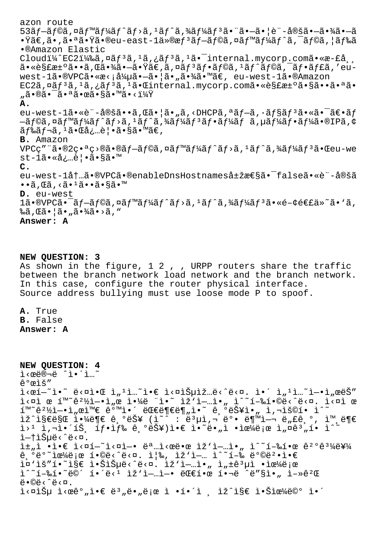azon route  $53\tilde{a}f - \tilde{a}f\odot \tilde{a}$ ,¤ã $f\cdot \tilde{a}f^2\tilde{a}f - \tilde{a}f^2\tilde{a}f - \tilde{a}f^2\tilde{a}f^2\tilde{a}f^3\tilde{a} - \tilde{a}f^2\tilde{a}f - \tilde{a}f^2\tilde{a}f^2\tilde{a} - \tilde{a}f^2\tilde{a}f^2\tilde{a} - \tilde{a}f^2\tilde{a}f^2\tilde{a} - \tilde{a}f^2\tilde{a}f^2\tilde{a} - \$ •Ÿã€,ã•,㕪㕟ã•®eu-east-lä»®æfªãƒ—ラã,¤ãƒ™ãƒ¼ãƒ^ã,¯ãƒ©ã,¦ãƒ‰ã •®Amazon Elastic Cloudi¼^EC2i¼‰ã,¤ãf3ã,1ã,¿ãf3ã,1ã• internal.mycorp.comã•«æ-£å  $a \cdot \epsilon s$ £æ $\cdot$ °ã $\cdot \cdot a$ , $\epsilon s$  $\cdot \cdot a \cdot \frac{a}{a}$ , $\epsilon s$ , $\epsilon s$ , $\epsilon s$ ,  $\epsilon s$ ,  $\epsilon s$ ,  $\epsilon s$ ,  $\epsilon s$ ,  $\epsilon s$ ,  $\epsilon s$ ,  $\epsilon s$ ,  $\epsilon s$ ,  $\epsilon s$ ,  $\epsilon s$ ,  $\epsilon s$ ,  $\epsilon s$ ,  $\epsilon s$ ,  $\epsilon s$ ,  $\epsilon s$ ,  $\epsilon s$ ,  $\epsilon s$ ,  $\epsilon s$ ,  $\epsilon s$ ,  $\epsilon s$ ,  $\epsilon s$ ,  $\epsilon s$ ,  $\$ west-1ã•®VPCã•«æ<;å¼µã•-㕦ã•"㕾ã•™ã€, eu-west-1ã•®Amazon EC2ã, ¤ãf<sup>3</sup>ã, <sup>1</sup>ã, ¿ãf<sup>3</sup>ã, <sup>1</sup>ã• Cinternal.mycorp.comã• «è§£æ±°ã•§ã••ã•<sup>a</sup>ã• "㕮㕯㕪㕜ã•§ã•™ã•<? **A.** eu-west-1ã•«è"-定ã••ã,  $\mathfrak{C}$ 㕦ã•"ã, <DHCPã, ªã $f$ -ã, ·ã $f$ §ã $f$ <sup>3</sup>ã•«ã• $\tilde{\phantom{a}}$ ã $\epsilon$ •ã $f$  $-\tilde{a}$ f©ã,¤ãƒ™ãƒ¼ãƒ^ãƒ⟩ã,1ãƒ^ã,¾ãƒ¼ãƒ3フーフーã,¤®IPã,¢  $\tilde{a}$   $f$ ‰ $\tilde{a}$  $f$ ¬ $\tilde{a}$ ,  $1$  $\tilde{a}$ • $\tilde{a}$ å,  $\tilde{a}$ ,  $\tilde{e}$ ) •  $\tilde{a}$ • $\tilde{s}$  $\tilde{a}$ • $\tilde{w}$  $\tilde{a}$  $\in$ , **B.** Amazon  $VPCQ''''\tilde{a} \cdot \mathcal{A}$  $Q^2Q \cdot \mathcal{A}$   $Q^3Q\tilde{a} \cdot \mathcal{A}$  $\tilde{a}f \circ \tilde{a}f$   $\tilde{a}f' \tilde{a}f' \tilde{a}f'$  $\tilde{a}f' \tilde{a}f' \tilde{a}f' \tilde{a}f'$  $\tilde{a}f' \tilde{a}f' \tilde{a}f'$  $\tilde{a}f' \tilde{a}f' \tilde{a}f' \tilde{a}f'$ st-1ã.«å¿…è|.ã.§ã.™ **C.** eu-west-1内ã•®VPCã•®enableDnsHostnames属性ã•<sup>-</sup>falseã•«è¨-定ã  $\cdot\widetilde{a}$ , $\mathbb{G}$ ã, $\cdot\widetilde{a}$  $\cdot\widetilde{a}$  $\cdot\widetilde{a}$  $\cdot\widetilde{a}$  $\cdot\widetilde{a}$  $\cdot\widetilde{b}$ **D.** eu-west  $1$ 㕮VPC㕯ブラã,¤ãƒ™ãƒ¼ãƒ^ãƒ>ã,1ãƒ^ã,¾ãƒ¼ãƒ3㕫関連ä»~ã• `ã, ‰ã,Œã•¦ã•"㕾ã•>ã," **Answer: A**

**NEW QUESTION: 3**

As shown in the figure, 1 2, , URPP routers share the traffic between the branch network load network and the branch network. In this case, configure the router physical interface. Source address bullying must use loose mode P to spoof.

**A.** True **B.** False **Answer: A**

```
NEW QUESTION: 4
ì‹œë®¬ë ˆì•´ì…˜
ê°œìš″
\tilde{\mathbf{L}} \times \mathbb{C} \tilde{\mathbf{L}} = \tilde{\mathbf{L}} \times \mathbb{C} is \tilde{\mathbf{L}} , \tilde{\mathbf{L}} is \tilde{\mathbf{L}} is \tilde{\mathbf{L}} is \tilde{\mathbf{L}} is \tilde{\mathbf{L}} is \tilde{\mathbf{L}} is \tilde{\mathbf{L}} is \tilde{\mathbf{L}} is \tilde{\mathbf{L}} is \tilde{\mathbf{L}} is \tildei \times aì œ í<sup>m ~</sup>ê^2\frac{1}{2}i - \cdot i e ì\frac{1}{4}e "i. I \infty iz'i- i. i. i \times ai. I. i \times ai e
i \in \mathbb{R} , where i \in \mathbb{R} and i \in \mathbb{R} and i \in \mathbb{R},<br>ìž^지만 야ë¶€ ê,ºëŠ¥ (ì~^ : ë3µì,¬ 뺕 붙여 ë"£ê,º, ì™,ë¶€
i > 1 i,i > 1 i,i > 1 is j > 1 if i > 2 is i > 2 in i > 2 in i > 2 in i > 2i—t습ë<^ë<¤.
i\pm i\in \mathbb{N} •i\in \mathbb{N} i\in \mathbb{N} . i\in \mathbb{N} , i\in \mathbb{N} , i\in \mathbb{N} , i\in \mathbb{N} , i\in \mathbb{N} , i\in \mathbb{N} , i\in \mathbb{N} , i\in \mathbb{N} , i\in \mathbb{N} , i\in \mathbb{N} , i\in \mathbb{N} , i\in \mathbb{N} , i\in \mathbb{\hat{e}, \hat{e} \hat{e} \hat{e} \hat{e} \hat{f} \hat{f} \hat{e} \hat{e} \hat{e} \hat{e} \hat{e} \hat{e} \hat{f} \hat{e} \hat{f} \hat{e} \hat{e} \hat{e} \hat{e} \hat{f} \hat{e} \hat{f} \hat{e} \hat{e} \hat{e} \hat{e} \hat{i¤'iš"í. ~i§€ i.Šiеë<^ë<¤. iž'i-…i., i"±ê3µì .iœ¼ë;œ
i^*i - 2i - 2i i^*i = 2 i^*i - 2i - 1 i^*i - 1 - 2i - 2i and i^*i = 2i - 2i - 1\ddot{e} \cdot \ddot{\odot} \ddot{e} \cdot \hat{e} \cdot \ddot{\alpha}.
j<¤ìе ì<œê°"ì•€ ë3"ë•"로 ì •í•´ì ¸ ìž^ì§€ 않으ë©° ì•´
```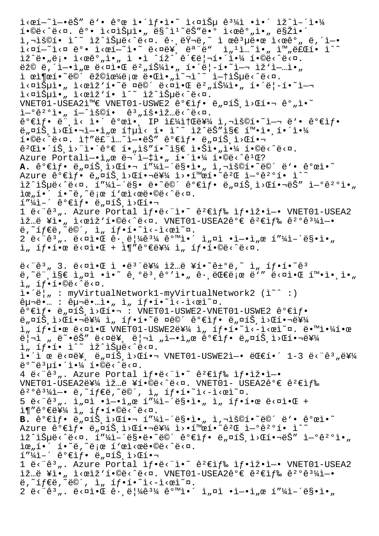$i \times \mathfrak{e} i - i \times \mathfrak{e} i$  ,  $i \times \mathfrak{e} i$  ,  $i \times \mathfrak{e} i$  ,  $i \times \mathfrak{e} i$  ,  $i \times \mathfrak{e} i$  ,  $i \times \mathfrak{e} i$  ,  $i \times \mathfrak{e} i$  ,  $i \times \mathfrak{e} i$  ,  $i \times \mathfrak{e} i$  ,  $i \times \mathfrak{e} i$  ,  $i \times \mathfrak{e} i$  ,  $i \times \mathfrak{e} i$  ,  $i \times \mathfrak{e} i$  ,  $i \cdot \frac{1}{2}$   $i \cdot \frac{1}{2}$   $i \cdot \frac{2}{2}$   $i \cdot \frac{1}{2}$   $i \cdot \frac{1}{2}$   $i \cdot \frac{1}{2}$   $i \cdot \frac{1}{2}$   $i \cdot \frac{1}{2}$   $i \cdot \frac{1}{2}$   $i \cdot \frac{1}{2}$   $i \cdot \frac{1}{2}$   $i \cdot \frac{1}{2}$   $i \cdot \frac{1}{2}$   $i \cdot \frac{1}{2}$   $i \cdot \frac{1}{2}$   $i \cdot \frac{1}{2}$   $i \cdot \frac{1}{2}$  i,"š©í• ì^~ ìž^습ë‹^다. ê· ëŸ¬ë,~ ì œêªµë•œ l‹œêº" ë,´ì—•  $\tilde{\Delta} <$ ní $<$ n ë $^{\circ}$ • ì $<$ eí $-^{\sim}$ ì• $^{\sim}$  ë $<$ në¥ $_{\circ}$  ë $^{\circ}$ ë" ì" $^{\circ}$ ì. $^{\sim}$ ì• $_{\prime\prime}$  ì™ $_{\prime\prime}$ 료í• ì $^{\sim}$ ìž^ë•"ë¡• ì<œêº"ì•" ì •ì ^íž^ 관리해야 í•©ë<^ë<¤.  $\ddot{e}$ ž© ë,´ì-•ì"œ ë<¤ì•Œ 버튼ì•" í•´ë|-í•~ì-¬ ìž'ì-…ì•" i ϓ¶œí•~ë©´ 랩으ë;œ 때ì•"î~¬ì^~ i—t습ë<^ë<¤.  $i \in \mathbb{Z}$ i;  $i \in \mathbb{Z}$ i,  $i \in \mathbb{Z}$ i,  $i \in \mathbb{Z}$ i,  $i \in \mathbb{Z}$ i,  $i \in \mathbb{Z}$ i,  $i \in \mathbb{Z}$ i,  $i \in \mathbb{Z}$ i,  $i \in \mathbb{Z}$ i,  $i \in \mathbb{Z}$ i<¤iŠuì• "i<œiž'í• ì^~ iž^iŠuë<^ë<¤.  $VNET01-USEA2i^{\omega} \in VNET01-USWE2$   $\hat{e}^{\circ} \in i \rightarrow \text{e}$ ,  $\sin \hat{S}$ ,  $i \times \text{e}$  $i \rightarrow \text{e}^{\circ}$ ,  $i \cdot \text{e}$  $\tilde{a}$ <sup>-°</sup>ê<sup>2</sup>°ì•, í-^ìš©í• ê<sup>3</sup>,횕입ë<^ë<¤.  $\hat{e}^{\circ}$ eif. ë", ì< ì.  $\hat{e}^{\circ}$   $\hat{e}^{\circ}$ ei. IP if $\hat{z}$ it  $\hat{e}^{\circ}$ i i,  $\hat{e}^{\circ}$ oí.  $\hat{e}^{\circ}$  i– $\neg$  ë'.  $\hat{e}^{\circ}$ eif. ë"¤íŠ ì>Œí•¬ì—•ì"œ 통ì< í• ì^~ ìž^ëŠ″ì§€ 확ì• í•´ì•¼  $i^{\bullet}$  $\circ$ ë $\circ$  $i^{\bullet}$  and  $i^{\bullet}$   $i^{\bullet}$  and  $i^{\bullet}$   $i^{\bullet}$  and  $i^{\bullet}$   $i^{\bullet}$  and  $i^{\bullet}$  and  $i^{\bullet}$  and  $i^{\bullet}$  and  $i^{\bullet}$  and  $i^{\bullet}$  and  $i^{\bullet}$  and  $i^{\bullet}$  and  $i^{\bullet}$  and  $i^{\bullet}$  and  $i^{\bullet}$  and  $i^{\bullet}$  and 꺌앴트ì>¨ì•´êº€ í•"ìš″í•~ì§€ 않ì•"야 í•©ë<^ë<¤. Azure Portalì-•ì"œ 무ì-‡ì•" 해야 í•©ë<^ê1Œ? A. ê°€ìf• ë"¤íŠ ì>Œí•¬ í"¼ì-´ë§•ì• " ì,¬ìš©í•~ë©´ ë'• ê°œì•~ Azure ê°€ìf• ë"¤íŠ ì>Œí•¬ë¥¼ ì>•활í•~ê?Œ ì-°ê?°í• ì^~  $i\geq 1$   $i\geq 0$   $i\geq 0$  .  $i\geq 0$   $i\geq 0$  . I  $i\geq 0$  is  $i\geq 0$  is  $i\geq 0$  if  $i\geq 0$  if  $i\geq 0$  if  $i\geq 0$  if  $i\geq 0$  if  $i\geq 0$  if  $i\geq 0$  if  $i\geq 0$  if  $i\geq 0$  if  $i\geq 0$  if  $i\geq 0$  if  $i\geq 0$  if  $i$  $\tilde{\mathbb{1}}$  $\mathfrak{e}_n$  $\tilde{\mathbb{1}}$  $\bullet$  $\tilde{\mathbb{1}}$  $\tilde{\mathbb{1}}$  $\tilde{\mathbb{1}}$  $\tilde{\mathbb{1}}$  $\tilde{\mathbb{1}}$  $\tilde{\mathbb{1}}$  $\tilde{\mathbb{1}}$  $\tilde{\mathbb{1}}$  $\tilde{\mathbb{1}}$  $\tilde{\mathbb{1}}$  $\tilde{\mathbb{1}}$  $\tilde{\mathbb{1}}$  $\tilde{\mathbb{1}}$  $\tilde{\mathbb{1}}$  $\tilde{\mathbb{1}}$  $\tilde{\mathbb{1}}$  $\tilde{\mathbb{1$  $I''\lambda\bar{l}$  -  $\hat{e}$   $\epsilon\bar{l}$   $f$   $\epsilon$   $\bar{e}$   $\mu$   $\alpha\bar{l}$   $\dot{S}$   $\bar{l}$   $>$   $\alpha\bar{l}$   $\epsilon$   $\eta$ 1 ë<"ê3,. Azure Portal ì $f \cdot e$ <"ì." ê2 $\epsilon$ ì $f$ % ì $f \cdot i$ ž.i-. VNET01-USEA2  $i\tilde{z}$ …ë ¥ì•, ì<œlž'í•©ë<^ë<¤. VNET01-USEA2ê°€ ê2€ì $f$ ‰ ê2°ê3¼ì-•  $\ddot{e}, \tilde{i} f \in \ddot{e}, \tilde{e} \otimes \dot{e}, \quad \dot{h}, \quad \dot{f} \cdot \dot{f} \cdot \ddot{i} \cdot \ddot{i} \cdot \dot{h} \cdot \dot{h} \cdot \dot{g}.$  $2 \text{ e}^{2}$  =  $63 \text{ m}$ .  $6 \times 21 \cdot 20$   $6 \text{ m}$ .  $6 \cdot 21 \cdot 20$   $6 \cdot 31$   $6 \cdot 21 \cdot 20$   $6 \cdot 21 \cdot 20$   $6 \cdot 21 \cdot 20$   $6 \cdot 21 \cdot 20$   $6 \cdot 21 \cdot 20$  $\lim_{n \to \infty}$  if  $\lim_{n \to \infty}$  is  $\lim_{n \to \infty}$  if  $\lim_{n \to \infty}$  if  $\lim_{n \to \infty}$  if  $\lim_{n \to \infty}$  $e^{\frac{1}{2}}$ , 3.  $e^{\frac{1}{2}}$   $e^{\frac{1}{2}}$   $e^{\frac{1}{2}}$   $e^{\frac{1}{2}}$   $e^{\frac{1}{2}}$   $e^{\frac{1}{2}}$   $e^{\frac{1}{2}}$   $e^{\frac{1}{2}}$   $e^{\frac{1}{2}}$   $e^{\frac{1}{2}}$   $e^{\frac{1}{2}}$   $e^{\frac{1}{2}}$   $e^{\frac{1}{2}}$   $e^{\frac{1}{2}}$  $\ddot{e}$ ,  $\ddot{e}$   $\ddot{e}$ ,  $\ddot{e}$   $\ddot{e}$   $\ddot{e}$   $\ddot{e}$   $\ddot{e}$   $\ddot{e}$   $\ddot{e}$   $\ddot{e}$   $\ddot{e}$   $\ddot{e}$   $\ddot{e}$   $\ddot{e}$   $\ddot{e}$   $\ddot{e}$   $\ddot{e}$   $\ddot{e}$   $\ddot{e}$   $\ddot{e}$   $\ddot{e}$   $\ddot{e}$   $\ddot{e}$   $\dd$  $i_n$  íf.í.©ë<^ë<¤.  $i \cdot \ddot{\text{e}}|_{n}$  : myVirtualNetwork1-myVirtualNetwork2 ( $i^*$  :)  $\hat{e}$ μ¬ë•… :  $\hat{e}$ μ¬ë•…ì•" ì" íf•í•~ì<-ì<œì~¤.  $\hat{e}^{\circ}$ eif.  $\ddot{e}$   $\alpha$ iš i> $\alpha$ í.  $\ddot{e}$   $\ddot{e}$   $\ddot{e}$   $\ddot{e}$   $\ddot{e}$   $\ddot{e}$   $\ddot{e}$   $\ddot{e}$   $\ddot{e}$   $\ddot{e}$   $\ddot{e}$   $\ddot{e}$   $\ddot{e}$   $\ddot{e}$   $\ddot{e}$   $\ddot{e}$   $\ddot{e}$   $\ddot{e}$   $\ddot{e}$   $\ddot{e}$   $\ddot{e}$   $\pi$  i  $\ddot{e}$   $\pi$   $\ddot{e}$   $\ddot{e}$   $\ddot{e}$   $\ddot{e}$   $\ddot{e}$   $\ddot{e}$   $\ddot{e}$   $\ddot{e}$   $\ddot{e}$   $\ddot{e}$   $\ddot{e}$   $\ddot{e}$   $\ddot{e}$   $\ddot{e}$   $\ddot{e}$   $\ddot{e}$   $\ddot{e}$   $\ddot{e}$   $\ddot{e}$   $\ddot{e}$   $\ddot{e}$   $\$  $i$ ,  $if \cdot i \cdot \alpha$   $\ddot{e} \times a$ ) $\cdot \alpha$  VNET01-USWE2 $e^u$  $i$ ,  $i$ ,  $if \cdot i \cdot \ddot{e} \cdot \ddot{e} \cdot b$  $i \cdot a$ .  $\ddot{e} \cdot \ddot{e} \cdot b$  $\ddot{e}$ | $\ddot{a}$  ,  $\ddot{e}$   $\ddot{e}$   $\ddot{e}$   $\ddot{e}$   $\ddot{e}$   $\ddot{e}$   $\ddot{e}$   $\ddot{e}$   $\ddot{e}$   $\ddot{e}$   $\ddot{e}$   $\ddot{e}$   $\ddot{e}$   $\ddot{e}$   $\ddot{e}$   $\ddot{e}$   $\ddot{e}$   $\ddot{e}$   $\ddot{e}$   $\ddot{e}$   $\ddot{e}$   $\ddot{e}$   $\dd$ ì, íf·í• ì^~ ìž^습ë‹^다.  $i \cdot i$  œ ë<¤ë¥, ë"¤íŠ,ì>Œí•¬ VNET01-USWE2ì—• 대í•´ 1-3 ë<¨ê3"를  $e^{o}e^{3}u1\cdot1\cdot4$  1.00  $\cdot$   $e^{2}u$ . 4 ë<" $\hat{e}^3$ ". Azure Portal ì $f \cdot \hat{e}$ <"ì $\cdot$ "  $\hat{e}^2 \in$ ì $f$ % ì $f \cdot i \check{z} \cdot i$ - $\cdot$ VNET01-USEA2를 ìž…ë ¥í•©ë‹^다. VNET01- USEA2ê°€ ê<sup>2</sup>€ìf‰  $\hat{e}^2$ <sup>o</sup> $\hat{e}^3\hat{4}$ ì-· ë, ̃ifeë, ̃ë©´, ì" íf·í· ̃i<-ì< $\hat{e}$ ì″¤.  $5 \,$   $\ddot{e}$  <  $\ddot{e}$   $\ddot{e}$  ,  $\ddot{e}$   $\ddot{e}$  ,  $\ddot{e}$   $\ddot{e}$  +  $\ddot{e}$   $\ddot{e}$  +  $\ddot{e}$   $\ddot{e}$  +  $\ddot{e}$   $\ddot{e}$  +  $\ddot{e}$   $\ddot{e}$  +  $\ddot{e}$  +  $\ddot{e}$  +  $\ddot{e}$  +  $\ddot{e}$  +  $\ddot{e}$  +  $\ddot{e}$   $\iint \mathbf{F} \cdot \mathbf{F} \cdot \mathbf{F} \cdot \mathbf{F} \cdot \mathbf{F} \cdot \mathbf{F} \cdot \mathbf{F} \cdot \mathbf{F} \cdot \mathbf{F} \cdot \mathbf{F} \cdot \mathbf{F} \cdot \mathbf{F} \cdot \mathbf{F} \cdot \mathbf{F} \cdot \mathbf{F} \cdot \mathbf{F} \cdot \mathbf{F} \cdot \mathbf{F} \cdot \mathbf{F} \cdot \mathbf{F} \cdot \mathbf{F} \cdot \mathbf{F} \cdot \mathbf{F} \cdot \mathbf{F} \cdot \mathbf{F} \cdot \mathbf{F} \cdot \mathbf{F} \cdot \$ **B.**  $\hat{e}^{\circ}$ ۓf. ë<sub>"</sub>¤íŠ,ì>Œí.¬ í"¼ì-´ë§.ì." ì,¬ìš©í.~ë©´ ë'. ê°œì.~ Azure  $\hat{e}^{\circ}$  $\hat{e}$ if.  $\ddot{e}$   $\vec{n}$   $\sim$   $\hat{e}^{\circ}$   $\hat{e}$   $\hat{e}^{\circ}$   $\hat{e}$   $\hat{e}^{\circ}$   $\hat{e}^{\circ}$   $\hat{e}^{\circ}$   $\hat{e}^{\circ}$   $\hat{e}^{\circ}$   $\hat{e}^{\circ}$   $\hat{e}^{\circ}$   $\hat{e}^{\circ}$   $\hat{e}^{\circ}$   $\hat{e}^{\circ}$   $\hat{e}^{\circ}$   $\tilde{\Sigma}^{\text{max}}$ ) $\tilde{\Sigma}^{\text{max}}$  ,  $\tilde{\Sigma}^{\text{max}}$  ,  $\tilde{\Sigma}^{\text{max}}$  ,  $\tilde{\Sigma}^{\text{max}}$  ,  $\tilde{\Sigma}^{\text{max}}$  ,  $\tilde{\Sigma}^{\text{max}}$  ,  $\tilde{\Sigma}^{\text{max}}$  ,  $\tilde{\Sigma}^{\text{max}}$  ,  $\tilde{\Sigma}^{\text{max}}$  ,  $\tilde{\Sigma}^{\text{max}}$  ,  $\tilde{\Sigma}^{\text{max}}$  ,  $\tilde{\Sigma}^{\text{max}}$  ,  $\$  $\tilde{\mathbb{1}} \mathfrak{e}_n \tilde{\mathbb{1}} \bullet \tilde{\mathbb{1}} \bullet \tilde{\mathbb{1}} \tilde{\mathbb{e}}_n \tilde{\mathbb{1}} \tilde{\mathbb{1}} \mathfrak{e}_n \tilde{\mathbb{1}} \tilde{\mathbb{1}} \tilde{\mathbb{1}} \tilde{\mathbb{1}} \tilde{\mathbb{1}} \tilde{\mathbb{1}} \tilde{\mathbb{1}} \tilde{\mathbb{1}} \tilde{\mathbb{1}} \tilde{\mathbb{1}} \tilde{\mathbb{1}} \tilde{\mathbb{1}} \tilde{\mathbb{1}} \tilde{\mathbb{1}} \tilde{\mathbb{1}}$  $1''\overline{4}\overline{1}$ -' ê $^{\circ}$ elf. ë"¤íŠ,l>Œí.¬ 1  $\ddot{e}$  < " $\hat{e}$ <sup>3</sup>". Azure Portal  $\hat{1}f \cdot \ddot{e}$  < " $\hat{1} \cdot \tilde{e}$   $\hat{e}$  +  $\hat{e}$   $\hat{e}$  +  $\hat{e}$  +  $\hat{e}$  +  $\hat{e}$  +  $\hat{e}$  +  $\hat{e}$  +  $\hat{e}$  +  $\hat{e}$  +  $\hat{e}$  +  $\hat{e}$  +  $\hat{e}$  +  $\hat{e}$  +  $\hat{e}$  $i\geq$ …ë ¥ì• " ì<œlž'í•©ë<^ë<¤. VNET01-USEA2ê°€ ê<sup>2</sup>€ìf‰ ê<sup>2</sup>°ê<sup>31</sup>⁄4ì-• ë,~íf€ë,~ë©´, ì" íf•í•~ì<-ì<œì~¤.  $2 \ddot{e} \cdot \hat{e}^3$  ,  $\ddot{e} \cdot \dot{e} \cdot \dot{e}$   $\ddot{e} \cdot \ddot{e}$   $\frac{1}{4} \hat{e}^3$   $\frac{1}{4} \hat{e}^0$   $\dot{e}$   $\dot{e}$   $\dot{e}$   $\dot{e}$   $\dot{e}$   $\dot{e}$   $\dot{e}$   $\dot{e}$   $\dot{e}$   $\dot{e}$   $\dot{e}$   $\dot{e}$   $\dot{e}$   $\dot{e}$   $\dot{e}$   $\dot{e}$